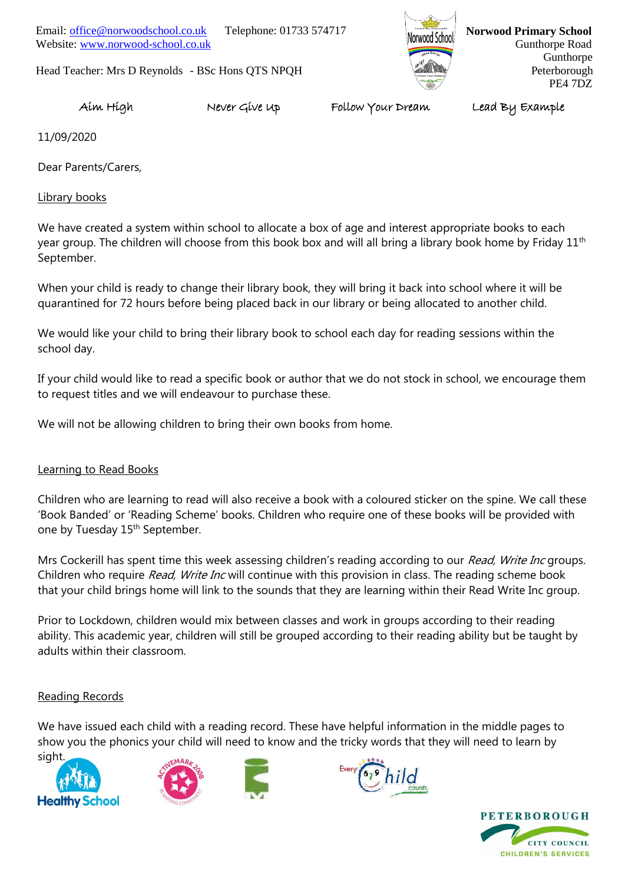Website: [www.norwood-school.co.uk](http://www.norwood-school.co.uk/) Email: [office@norwoodschool.co.uk](mailto:office@norwoodschool.co.uk) Telephone: 01733 574717

Head Teacher: Mrs D Reynolds - BSc Hons QTS NPQH



**Norwood School Norwood Primary School**  Gunthorpe Road Gunthorpe Peterborough PE4 7DZ

Aim High Never Give Up Follow Your Dream Lead By Example

11/09/2020

Dear Parents/Carers,

Library books

We have created a system within school to allocate a box of age and interest appropriate books to each year group. The children will choose from this book box and will all bring a library book home by Friday 11<sup>th</sup> September.

When your child is ready to change their library book, they will bring it back into school where it will be quarantined for 72 hours before being placed back in our library or being allocated to another child.

We would like your child to bring their library book to school each day for reading sessions within the school day.

If your child would like to read a specific book or author that we do not stock in school, we encourage them to request titles and we will endeavour to purchase these.

We will not be allowing children to bring their own books from home.

#### Learning to Read Books

Children who are learning to read will also receive a book with a coloured sticker on the spine. We call these 'Book Banded' or 'Reading Scheme' books. Children who require one of these books will be provided with one by Tuesday 15<sup>th</sup> September.

Mrs Cockerill has spent time this week assessing children's reading according to our Read, Write Inc groups. Children who require Read, Write Inc will continue with this provision in class. The reading scheme book that your child brings home will link to the sounds that they are learning within their Read Write Inc group.

Prior to Lockdown, children would mix between classes and work in groups according to their reading ability. This academic year, children will still be grouped according to their reading ability but be taught by adults within their classroom.

#### Reading Records

We have issued each child with a reading record. These have helpful information in the middle pages to show you the phonics your child will need to know and the tricky words that they will need to learn by